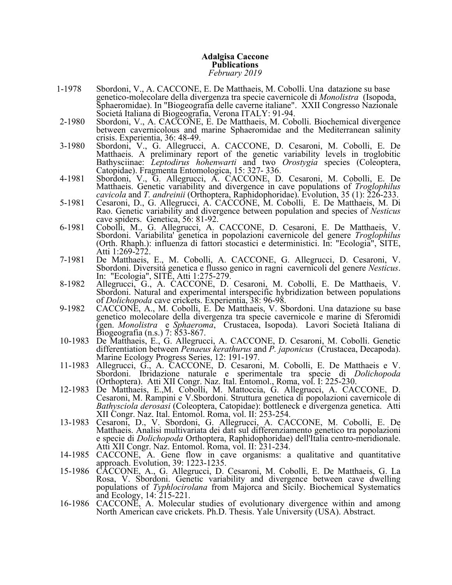## **Adalgisa Caccone Publications** *February 2019*

- 1-1978 Sbordoni, V., A. CACCONE, E. De Matthaeis, M. Cobolli. Una datazione su base genetico-molecolare della divergenza tra specie cavernicole di *Monolistra* (Isopoda, Sphaeromidae). In "Biogeografia delle caverne italiane". XXII Congresso Nazionale Societá Italiana di Biogeografia, Verona ITALY: 91-94.
- 2-1980 Sbordoni, V., A. CACCONE, E. De Matthaeis, M. Cobolli. Biochemical divergence between cavernicolous and marine Sphaeromidae and the Mediterranean salinity crisis. Experientia, 36: 48-49.
- 3-1980 Sbordoni, V., G. Allegrucci, A. CACCONE, D. Cesaroni, M. Cobolli, E. De Matthaeis. A preliminary report of the genetic variability levels in troglobitic Bathysciinae: *Leptodirus hohenwarti* and two *Orostygia* species (Coleoptera, Catopidae). Fragmenta Entomologica, 15: 327- 336.
- 4-1981 Sbordoni, V., G. Allegrucci, A. CACCONE, D. Cesaroni, M. Cobolli, E. De Matthaeis. Genetic variability and divergence in cave populations of *Troglophilus cavicola* and *T. andreinii* (Orthoptera, Raphidophoridae). Evolution, 35 (1): 226-233.
- 5-1981 Cesaroni, D., G. Allegrucci, A. CACCONE, M. Cobolli, E. De Matthaeis, M. Di Rao. Genetic variability and divergence between population and species of *Nesticus* cave spiders. Genetica, 56: 81-92.
- 6-1981 Cobolli, M., G. Allegrucci, A. CACCONE, D. Cesaroni, E. De Matthaeis, V. Sbordoni. Variabilita' genetica in popolazioni cavernicole del genere Troglophilus (Orth. Rhaph.): influenza di fattori stocastici e deterministici. In: "Ecologia", SITE, Atti 1:269-272.
- 7-1981 De Matthaeis, E., M. Cobolli, A. CACCONE, G. Allegrucci, D. Cesaroni, V. Sbordoni. Diversitá genetica e flusso genico in ragni cavernicoli del genere *Nesticus*. In: "Ecologia", SITE, Atti 1:275-279.
- 8-1982 Allegrucci, G., A. CACCONE, D. Cesaroni, M. Cobolli, E. De Matthaeis, V. Sbordoni. Natural and experimental interspecific hybridization between populations of *Dolichopoda* cave crickets. Experientia, 38: 96-98.
- 9-1982 CACCONE, A., M. Cobolli, E. De Matthaeis, V. Sbordoni. Una datazione su base genetico molecolare della divergenza tra specie cavernicole e marine di Sferomidi (gen. *Monolistra* e *Sphaeroma*, Crustacea, Isopoda). Lavori Società Italiana di Biogeografia (n.s.) 7: 853-867.
- 10-1983 De Matthaeis, E., G. Allegrucci, A. CACCONE, D. Cesaroni, M. Cobolli. Genetic differentiation between *Penaeus kerathurus* and *P. japonicus* (Crustacea, Decapoda). Marine Ecology Progress Series, 12: 191-197.
- 11-1983 Allegrucci, G., A. CACCONE, D. Cesaroni, M. Cobolli, E. De Matthaeis e V. Sbordoni. Ibridazione naturale e sperimentale tra specie di *Dolichopoda* (Orthoptera). Atti XII Congr. Naz. Ital. Entomol., Roma, vol. I: 225-230.
- 12-1983 De Matthaeis, E.,M. Cobolli, M. Mattoccia, G. Allegrucci, A. CACCONE, D. Cesaroni, M. Rampini e V.Sbordoni. Struttura genetica di popolazioni cavernicole di *Bathysciola derosasi* (Coleoptera, Catopidae): bottleneck e divergenza genetica. Atti XII Congr. Naz. Ital. Entomol. Roma, vol. II: 253-254.
- 13-1983 Cesaroni, D., V. Sbordoni, G. Allegrucci, A. CACCONE, M. Cobolli, E. De Matthaeis. Analisi multivariata dei dati sul differenziamento genetico tra popolazioni e specie di *Dolichopoda* Orthoptera, Raphidophoridae) dell'Italia centro-meridionale. Atti XII Congr. Naz. Entomol. Roma, vol. II: 231-234.
- 14-1985 CACCONE, A. Gene flow in cave organisms: a qualitative and quantitative approach. Evolution, 39: 1223-1235.
- 15-1986 CACCONE, A., G. Allegrucci, D. Cesaroni, M. Cobolli, E. De Matthaeis, G. La Rosa, V. Sbordoni. Genetic variability and divergence between cave dwelling populations of *Typhlocirolana* from Majorca and Sicily. Biochemical Systematics and Ecology, 14: 215-221.
- 16-1986 CACCONE, A. Molecular studies of evolutionary divergence within and among North American cave crickets. Ph.D. Thesis. Yale University (USA). Abstract.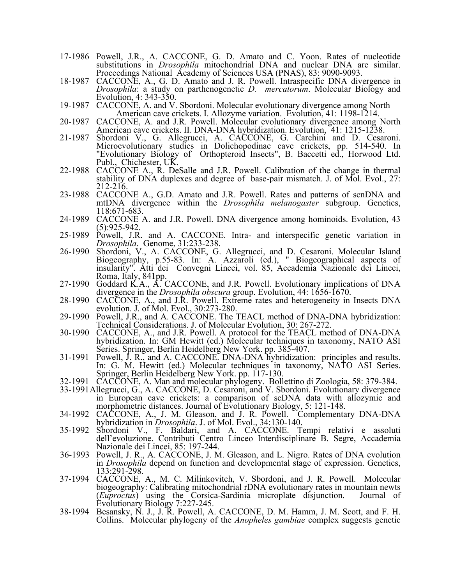- 17-1986 Powell, J.R., A. CACCONE, G. D. Amato and C. Yoon. Rates of nucleotide substitutions in *Drosophila* mitochondrial DNA and nuclear DNA are similar. Proceedings National Academy of Sciences USA (PNAS), 83: 9090-9093.
- 18-1987 CACCONE, A., G. D. Amato and J. R. Powell. Intraspecific DNA divergence in *Drosophila*: a study on parthenogenetic *D. mercatorum*. Molecular Biology and Evolution, 4: 343-350.
- 19-1987 CACCONE, A. and V. Sbordoni. Molecular evolutionary divergence among North American cave crickets. I. Allozyme variation. Evolution, 41: 1198-1214.
- 20-1987 CACCONE, A. and J.R. Powell. Molecular evolutionary divergence among North American cave crickets. II. DNA-DNA hybridization. Evolution, 41: 1215-1238.
- 21-1987 Sbordoni V., G. Allegrucci, A. CACCONE, G. Carchini and D. Cesaroni. Microevolutionary studies in Dolichopodinae cave crickets, pp. 514-540. In "Evolutionary Biology of Orthopteroid Insects", B. Baccetti ed., Horwood Ltd. Publ., Chichester, UK.
- 22-1988 CACCONE A., R. DeSalle and J.R. Powell. Calibration of the change in thermal stability of DNA duplexes and degree of base-pair mismatch. J. of Mol. Evol., 27: 212-216.
- 23-1988 CACCONE A., G.D. Amato and J.R. Powell. Rates and patterns of scnDNA and mtDNA divergence within the *Drosophila melanogaster* subgroup. Genetics, 118:671-683.
- 24-1989 CACCONE A. and J.R. Powell. DNA divergence among hominoids. Evolution, 43 (5):925-942.
- 25-1989 Powell, J.R. and A. CACCONE. Intra- and interspecific genetic variation in *Drosophila*. Genome, 31:233-238.
- 26-1990 Sbordoni, V., A. CACCONE, G. Allegrucci, and D. Cesaroni. Molecular Island Biogeography, p.55-83. In: A. Azzaroli (ed.), " Biogeographical aspects of insularity". Atti dei Convegni Lincei, vol. 85, Accademia Nazionale dei Lincei, Roma, Italy, 841pp.
- 27-1990 Goddard K.A., A. CACCONE, and J.R. Powell. Evolutionary implications of DNA divergence in the *Drosophila obscura* group. Evolution, 44: 1656-1670.
- 28-1990 CACCONE, A., and J.R. Powell. Extreme rates and heterogeneity in Insects DNA evolution. J. of Mol. Evol., 30:273-280.
- 29-1990 Powell, J.R., and A. CACCONE. The TEACL method of DNA-DNA hybridization: Technical Considerations. J. of Molecular Evolution, 30: 267-272.
- 30-1990 CACCONE, A., and J.R. Powell. A protocol for the TEACL method of DNA-DNA hybridization. In: GM Hewitt (ed.) Molecular techniques in taxonomy, NATO ASI Series. Springer, Berlin Heidelberg New York. pp. 385-407.
- 31-1991 Powell, J. R., and A. CACCONE. DNA-DNA hybridization: principles and results. In: G. M. Hewitt (ed.) Molecular techniques in taxonomy, NATO ASI Series. Springer, Berlin Heidelberg New York. pp. 117-130.
- 32-1991 CACCONE, A. Man and molecular phylogeny. Bollettino di Zoologia, 58: 379-384.
- 33-1991Allegrucci, G., A. CACCONE, D. Cesaroni, and V. Sbordoni. Evolutionary divergence in European cave crickets: a comparison of scDNA data with allozymic and morphometric distances. Journal of Evolutionary Biology, 5: 121-148.
- 34-1992 CACCONE, A., J. M. Gleason, and J. R. Powell. Complementary DNA-DNA hybridization in *Drosophila*. J. of Mol. Evol., 34:130-140.
- 35-1992 Sbordoni V., F. Baldari, and A. CACCONE. Tempi relativi e assoluti dell'evoluzione. Contributi Centro Linceo Interdisciplinare B. Segre, Accademia Nazionale dei Lincei, 85: 197-244.
- 36-1993 Powell, J. R., A. CACCONE, J. M. Gleason, and L. Nigro. Rates of DNA evolution in *Drosophila* depend on function and developmental stage of expression. Genetics, 133:291-298.
- 37-1994 CACCONE, A., M. C. Milinkovitch, V. Sbordoni, and J. R. Powell. Molecular biogeography: Calibrating mitochondrial rDNA evolutionary rates in mountain newts (*Euproctus*) using the Corsica-Sardinia microplate disjunction. Journal of Evolutionary Biology 7:227-245.
- 38-1994 Besansky, N. J., J. R. Powell, A. CACCONE, D. M. Hamm, J. M. Scott, and F. H. Collins. Molecular phylogeny of the *Anopheles gambiae* complex suggests genetic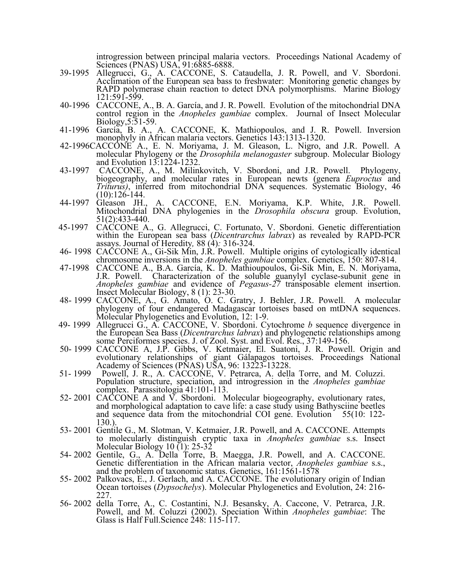introgression between principal malaria vectors. Proceedings National Academy of Sciences (PNAS) USA, 91:6885-6888.

- 39-1995 Allegrucci, G., A. CACCONE, S. Cataudella, J. R. Powell, and V. Sbordoni. Acclimation of the European sea bass to freshwater: Monitoring genetic changes by RAPD polymerase chain reaction to detect DNA polymorphisms. Marine Biology 121:591-599.
- 40-1996 CACCONE, A., B. A. García, and J. R. Powell. Evolution of the mitochondrial DNA control region in the *Anopheles gambiae* complex. Journal of Insect Molecular Biology,5:51-59.
- 41-1996 García, B. A., A. CACCONE, K. Mathiopoulos, and J. R. Powell. Inversion monophyly in African malaria vectors. Genetics 143:1313-1320.
- 42-1996CACCONE A., E. N. Moriyama, J. M. Gleason, L. Nigro, and J.R. Powell. A molecular Phylogeny or the *Drosophila melanogaster* subgroup. Molecular Biology and Evolution 13:1224-1232.
- 43-1997 CACCONE, A., M. Milinkovitch, V. Sbordoni, and J.R. Powell. Phylogeny, biogeography, and molecular rates in European newts (genera *Euproctus* and *Triturus)*, inferred from mitochondrial DNA sequences. Systematic Biology, 46  $(10):126-144.$
- 44-1997 Gleason JH., A. CACCONE, E.N. Moriyama, K.P. White, J.R. Powell. Mitochondrial DNA phylogenies in the *Drosophila obscura* group. Evolution, 51(2):433-440.
- 45-1997 CACCONE A., G. Allegrucci, C. Fortunato, V. Sbordoni. Genetic differentiation within the European sea bass (*Dicentrarchus labrax*) as revealed by RAPD-PCR assays. Journal of Heredity*,* 88 (4)*:* 316-324.
- 46- 1998 CACCONE A., Gi-Sik Min, J.R. Powell. Multiple origins of cytologically identical chromosome inversions in the *Anopheles gambiae* complex. Genetics, 150: 807-814.
- 47-1998 CACCONE A., B.A. García, K. D. Mathioupoulos, Gi-Sik Min, E. N. Moriyama, J.R. Powell. Characterization of the soluble guanylyl cyclase-subunit gene in *Anopheles gambiae* and evidence of *Pegasus-27* transposable element insertion. Insect Molecular Biology, 8 (1): 23-30.
- 48- 1999 CACCONE, A., G. Amato, O. C. Gratry, J. Behler, J.R. Powell. A molecular phylogeny of four endangered Madagascar tortoises based on mtDNA sequences. Molecular Phylogenetics and Evolution, 12: 1-9.
- 49- <sup>1999</sup> Allegrucci G., A. CACCONE, V. Sbordoni. Cytochrome *<sup>b</sup>* sequence divergence in the European Sea Bass (*Dicentrarchus labrax*) and phylogenetic relationships among some Perciformes species. J. of Zool. Syst. and Evol. Res., 37:149-156.
- 50- 1999 CACCONE A, J.P. Gibbs, V. Ketmaier, El. Suatoni, J. R. Powell. Origin and evolutionary relationships of giant Gálapagos tortoises. Proceedings National Academy of Sciences (PNAS) USA, 96: 13223-13228.
- 51- 1999 Powell, J. R., A. CACCONE, V. Petrarca, A. della Torre, and M. Coluzzi. Population structure, speciation, and introgression in the *Anopheles gambiae* complex. Parassitologia 41:101-113.
- 52- 2001 CACCONE A and V. Sbordoni. Molecular biogeography, evolutionary rates, and morphological adaptation to cave life: a case study using Bathysciine beetles and sequence data from the mitochondrial COI gene. Evolution 55(10: 122-130.).
- 53- 2001 Gentile G., M. Slotman, V. Ketmaier, J.R. Powell, and A. CACCONE. Attempts to molecularly distinguish cryptic taxa in *Anopheles gambiae* s.s. Insect Molecular Biology 10 (1): 25-32
- 54- <sup>2002</sup> Gentile, G., A. Della Torre, B. Maegga, J.R. Powell, and A. CACCONE. Genetic differentiation in the African malaria vector, *Anopheles gambiae* s.s., and the problem of taxonomic status. Genetics, 161:1561-1578
- 55- 2002 Palkovacs, E., J. Gerlach, and A. CACCONE. The evolutionary origin of Indian Ocean tortoises (*Dypsochelys*). Molecular Phylogenetics and Evolution, 24: 216- 227.
- 56- 2002 della Torre, A., C. Costantini, N.J. Besansky, A. Caccone, V. Petrarca, J.R. Powell, and M. Coluzzi (2002). Speciation Within *Anopheles gambiae*: The Glass is Half Full. Science 248: 115-117.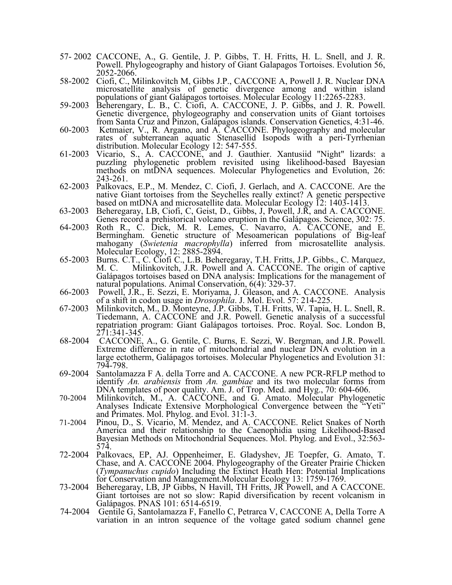- 57- 2002 CACCONE, A., G. Gentile, J. P. Gibbs, T. H. Fritts, H. L. Snell, and J. R. Powell. Phylogeography and history of Giant Galapagos Tortoises. Evolution 56, 2052-2066.
- 58-2002 Ciofi, C., Milinkovitch M, Gibbs J.P., CACCONE A, Powell J. R. Nuclear DNA microsatellite analysis of genetic divergence among and within island populations of giant Galápagos tortoises. Molecular Ecology 11:2265-2283.
- 59-2003 Beherengary, L. B., C. Ciofi, A. CACCONE, J. P. Gibbs, and J. R. Powell. Genetic divergence, phylogeography and conservation units of Giant tortoises from Santa Cruz and Pinzon, Galápagos islands. Conservation Genetics, 4:31-46. 60-2003 Ketmaier, V., R. Argano, and A. CACCONE. Phylogeography and molecular
- rates of subterranean aquatic Stenasellid Isopods with a peri-Tyrrhenian distribution. Molecular Ecology 12: 547-555.
- 61-2003 Vicario, S., A. CACCONE, and J. Gauthier. Xantusiid "Night" lizards: a puzzling phylogenetic problem revisited using likelihood-based Bayesian methods on mtDNA sequences. Molecular Phylogenetics and Evolution, 26: 243-261.
- 62-2003 Palkovacs, E.P., M. Mendez, C. Ciofi, J. Gerlach, and A. CACCONE. Are the native Giant tortoises from the Seychelles really extinct? A genetic perspective based on mtDNA and microsatellite data. Molecular Ecology 12: 1403-1413.
- 63-2003 Beheregaray, LB, Ciofi, C, Geist, D., Gibbs, J, Powell, J.R, and A. CACCONE. Genes record a prehistorical volcano eruption in the Galápagos. Science, 302: 75.
- 64-2003 Roth R., C. Dick, M. R. Lemes, C. Navarro, A. CACCONE, and E. Bermingham. Genetic structure of Mesoamerican populations of Big-leaf mahogany (*Swietenia macrophylla*) inferred from microsatellite analysis. Molecular Ecology, 12: 2885-2894.
- 65-2003 Burns. C.T., C. Ciofi C., L.B. Beheregaray, T.H. Fritts, J.P. Gibbs., C. Marquez, M. C. Milinkovitch, J.R. Powell and A. CACCONE. The origin of captive Galápagos tortoises based on DNA analysis: Implications for the management of natural populations. Animal Conservation, 6(4): 329-37.
- 66-2003 Powell, J.R., E. Sezzi, E. Moriyama, J. Gleason, and A. CACCONE. Analysis of a shift in codon usage in *Drosophila*. J. Mol. Evol. 57: 214-225.
- 67-2003 Milinkovitch, M., D. Monteyne, J.P. Gibbs, T.H. Fritts, W. Tapia, H. L. Snell, R. Tiedemann, A. CACCONE and J.R. Powell. Genetic analysis of a successful repatriation program: Giant Galápagos tortoises. Proc. Royal. Soc. London B, 271:341-345.
- 68-2004 CACCONE, A., G. Gentile, C. Burns, E. Sezzi, W. Bergman, and J.R. Powell. Extreme difference in rate of mitochondrial and nuclear DNA evolution in a large ectotherm, Galápagos tortoises. Molecular Phylogenetics and Evolution 31: 794-798.
- 69-2004 Santolamazza F A. della Torre and A. CACCONE. A new PCR-RFLP method to identify *An. arabiensis* from *An. gambiae* and its two molecular forms from DNA templates of poor quality. Am. J. of Trop. Med. and Hyg., 70: 604-606.
- 70-2004 Milinkovitch, M., A. CACCONE, and G. Amato. Molecular Phylogenetic Analyses Indicate Extensive Morphological Convergence between the "Yeti" and Primates. Mol. Phylog. and Evol. 31:1-3.
- 71-2004 Pinou, D., S. Vicario, M. Mendez, and A. CACCONE. Relict Snakes of North America and their relationship to the Caenophidia using Likelihood-Based Bayesian Methods on Mitochondrial Sequences. Mol. Phylog. and Evol., 32:563- 574.
- 72-2004 Palkovacs, EP, AJ. Oppenheimer, E. Gladyshev, JE Toepfer, G. Amato, T. Chase, and A. CACCONE 2004. Phylogeography of the Greater Prairie Chicken (*Tympanuchus cupido*) Including the Extinct Heath Hen: Potential Implications for Conservation and Management.Molecular Ecology 13: 1759-1769.
- 73-2004 Beheregaray, LB, JP Gibbs, N Havill, TH Fritts, JR Powell, and A CACCONE. Giant tortoises are not so slow: Rapid diversification by recent volcanism in Galápagos. PNAS 101: 6514-6519.
- 74-2004 Gentile G, Santolamazza F, Fanello C, Petrarca V, CACCONE A, Della Torre A variation in an intron sequence of the voltage gated sodium channel gene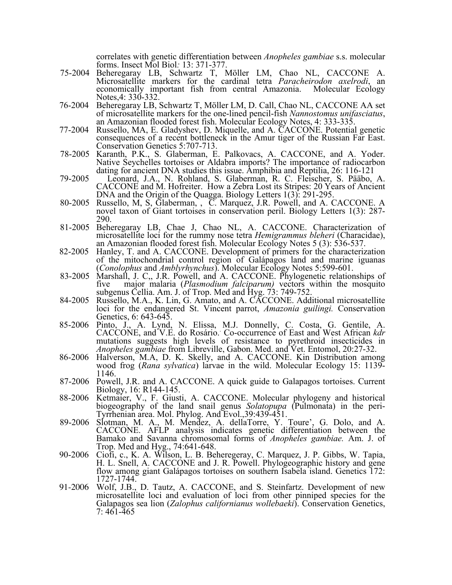correlates with genetic differentiation between *Anopheles gambiae* s.s. molecular forms. Insect Mol Biol*:* 13: 371-377.

- 75-2004 Beheregaray LB, Schwartz T, Möller LM, Chao NL, CACCONE A. Microsatellite markers for the cardinal tetra *Paracheirodon axelrodi*, an economically important fish from central Amazonia. Molecular Ecology Notes,4: 330-332.
- 76-2004 Beheregaray LB, Schwartz T, Möller LM, D. Call, Chao NL, CACCONE AA set of microsatellite markers for the one-lined pencil-fish *Nannostomus unifasciatus*, an Amazonian flooded forest fish. Molecular Ecology Notes, 4: 333-335.
- 77-2004 Russello, MA, E. Gladyshev, D. Miquelle, and A. CACCONE. Potential genetic consequences of a recent bottleneck in the Amur tiger of the Russian Far East. Conservation Genetics 5:707-713.
- 78-2005 Karanth, P.K., S. Glaberman, E. Palkovacs, A. CACCONE, and A. Yoder. Native Seychelles tortoises or Aldabra imports? The importance of radiocarbon dating for ancient DNA studies this issue. Amphibia and Reptilia, 26: 116-121
- 79-2005 Leonard, J.A., N. Rohland, S. Glaberman, R. C. Fleischer, S. Pääbo, A. CACCONE and M. Hofreiter. How a Zebra Lost its Stripes: 20 Years of Ancient DNA and the Origin of the Quagga. Biology Letters 1(3): 291-295.
- 80-2005 Russello, M, S, Glaberman, , C. Marquez, J.R. Powell, and A. CACCONE. A novel taxon of Giant tortoises in conservation peril. Biology Letters 1(3): 287- 290.
- 81-2005 Beheregaray LB, Chae J, Chao NL, A. CACCONE. Characterization of microsatellite loci for the rummy nose tetra *Hemigrammus bleheri* (Characidae), an Amazonian flooded forest fish. Molecular Ecology Notes 5 (3): 536-537.
- 82-2005 Hanley, T. and A. CACCONE. Development of primers for the characterization of the mitochondrial control region of Galápagos land and marine iguanas (*Conolophus* and *Amblyrhynchus*). Molecular Ecology Notes 5:599-601.
- 83-2005 Marshall, J. C,, J.R. Powell, and A. CACCONE. Phylogenetic relationships of five major malaria (*Plasmodium falciparum)* vectors within the mosquito subgenus Cellia. Am. J. of Trop. Med and Hyg. 73: 749-752.
- 84-2005 Russello, M.A., K. Lin, G. Amato, and A. CACCONE. Additional microsatellite loci for the endangered St. Vincent parrot, *Amazonia guilingi.* Conservation Genetics, 6: 643-645.
- 85-2006 Pinto, J., A. Lynd, N. Elissa, M.J. Donnelly, C. Costa, G. Gentile, A. CACCONE, and V.E. do Rosário.. Co-occurrence of East and West African *kdr* mutations suggests high levels of resistance to pyrethroid insecticides in *Anopheles gambiae* from Libreville, Gabon. Med. and Vet. Entomol, 20:27-32.
- 86-2006 Halverson, M.A, D. K. Skelly, and A. CACCONE. Kin Distribution among wood frog (*Rana sylvatica*) larvae in the wild. Molecular Ecology 15: 1139- 1146.
- 87-2006 Powell, J.R. and A. CACCONE. A quick guide to Galapagos tortoises. Current Biology, 16: R144-145.
- 88-2006 Ketmaier, V., F. Giusti, A. CACCONE. Molecular phylogeny and historical biogeography of the land snail genus *Solatopupa* (Pulmonata) in the peri- Tyrrhenian area. Mol. Phylog. And Evol.,39:439-451.
- 89-2006 Slotman, M. A., M. Mendez, A. dellaTorre, Y. Toure', G. Dolo, and A. CACCONE. AFLP analysis indicates genetic differentiation between the Bamako and Savanna chromosomal forms of *Anopheles gambiae.* Am. J. of Trop. Med and Hyg., 74:641-648.
- 90-2006 Ciofi, c., K. A. Wilson, L. B. Beheregeray, C. Marquez, J. P. Gibbs, W. Tapia, H. L. Snell, A. CACCONE and J. R. Powell. Phylogeographic history and gene flow among giant Galápagos tortoises on southern Isabela island. Genetics 172: 1727-1744.
- 91-2006 Wolf, J.B., D. Tautz, A. CACCONE, and S. Steinfartz. Development of new microsatellite loci and evaluation of loci from other pinniped species for the Galapagos sea lion (*Zalophus californianus wollebaeki*). Conservation Genetics, 7: 461-465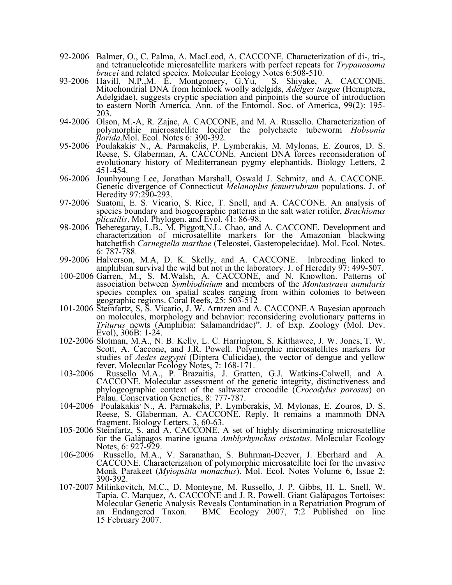- 92-2006 Balmer, O., C. Palma, A. MacLeod, A. CACCONE. Characterization of di-, tri-, and tetranucleotide microsatellite markers with perfect repeats for *Trypanosoma brucei* and related specie*s.* Molecular Ecology Notes 6:508-510.
- 93-2006 Havill, N.P.,M. E. Montgomery, G.Yu, S. Shiyake, A. CACCONE. Mitochondrial DNA from hemlock woolly adelgids, *Adelges tsugae* (Hemiptera, Adelgidae), suggests cryptic speciation and pinpoints the source of introduction to eastern North America. Ann. of the Entomol. Soc. of America, 99(2): 195- 203.
- 94-2006 Olson, M.-A, R. Zajac, A. CACCONE, and M. A. Russello. Characterization of polymorphic microsatellite locifor the polychaete tubeworm *Hobsonia florida*.Mol. Ecol. Notes 6: 390-392.
- 95-2006 Poulakakis, N., A. Parmakelis, P. Lymberakis, M. Mylonas, E. Zouros, D. S. Reese, S. Glaberman, A. CACCONE. Ancient DNA forces reconsideration of evolutionary history of Mediterranean pygmy elephantids. Biology Letters, 2 451-454.
- 96-2006 Jounhyoung Lee, Jonathan Marshall, Oswald J. Schmitz, and A. CACCONE. Genetic divergence of Connecticut *Melanoplus femurrubrum* populations. J. of Heredity 97:290-293.<br>97-2006 Suatoni, E. S. Vicario, S. Rice, T. Snell, and A. CACCONE. An analysis of
- species boundary and biogeographic patterns in the salt water rotifer, *Brachionus plicatilis*. Mol. Phylogen. and Evol. 41: 86-98.
- 98-2006 Beheregaray, L.B., M. Piggott,N.L. Chao, and A. CACCONE. Development and characterization of microsatellite markers for the Amazonian blackwing hatchetfish *Carnegiella marthae* (Teleostei, Gasteropelecidae). Mol. Ecol. Notes. 6: 787-788.
- 99-2006 Halverson, M.A, D. K. Skelly, and A. CACCONE. Inbreeding linked to amphibian survival the wild but not in the laboratory. J. of Heredity 97: 499-507.
- 100-2006 Garren, M., S. M.Walsh, A. CACCONE, and N. Knowlton. Patterns of association between *Symbiodinium* and members of the *Montastraea annularis* species complex on spatial scales ranging from within colonies to between geographic regions. Coral Reefs, 25: 503-512
- 101-2006 Steinfartz, S, S. Vicario, J. W. Arntzen and A. CACCONE.A Bayesian approach on molecules, morphology and behavior: reconsidering evolutionary patterns in *Triturus* newts (Amphibia: Salamandridae)". J. of Exp. Zoology (Mol. Dev. Evol), 306B: 1-24.
- 102-2006 Slotman, M.A., N. B. Kelly, L. C. Harrington, S. Kitthawee, J. W. Jones, T. W. Scott, A. Caccone, and J.R. Powell. Polymorphic microsatellites markers for studies of *Aedes aegypti* (Diptera Culicidae), the vector of dengue and yellow fever. Molecular Ecology Notes, 7: 168-171.
- 103-2006 Russello M.A., P. Brazaitis, J. Gratten, G.J. Watkins-Colwell, and A. CACCONE. Molecular assessment of the genetic integrity, distinctiveness and phylogeographic context of the saltwater crocodile (*Crocodylus porosus*) on Palau. Conservation Genetics, 8: 777-787.
- 104-2006 Poulakakis, N., A. Parmakelis, P. Lymberakis, M. Mylonas, E. Zouros, D. S. Reese, S. Glaberman, A. CACCONE. Reply. It remains a mammoth DNA fragment. Biology Letters. 3, 60-63.
- 105-2006 Steinfartz, S. and A. CACCONE. A set of highly discriminating microsatellite for the Galápagos marine iguana *Amblyrhynchus cristatus*. Molecular Ecology Notes, 6: 927-929.
- 106-2006 Russello, M.A., V. Saranathan, S. Buhrman-Deever, J. Eberhard and A. CACCONE. Characterization of polymorphic microsatellite loci for the invasive Monk Parakeet (*Myiopsitta monachus*). Mol. Ecol. Notes Volume 6, Issue 2: 390-392.
- 107-2007 Milinkovitch, M.C., D. Monteyne, M. Russello, J. P. Gibbs, H. L. Snell, W. Tapia, C. Marquez, A. CACCONE and J. R. Powell. Giant Galápagos Tortoises: Molecular Genetic Analysis Reveals Contamination in a Repatriation Program of an Endangered Taxon. BMC Ecology 2007, **7**:2 Published on line 15 February 2007.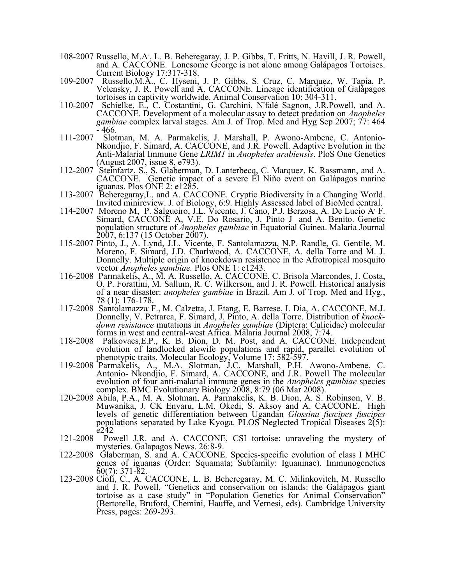- 108-2007 Russello, M.A., L. B. Beheregaray, J. P. Gibbs, T. Fritts, N. Havill, J. R. Powell, and A. CACCONE. Lonesome George is not alone among Galápagos Tortoises. Current Biology 17:317-318.
- 109-2007 Russello,M.A., C. Hyseni, J. P. Gibbs, S. Cruz, C. Marquez, W. Tapia, P. Velensky, J. R. Powell and A. CACCONE. Lineage identification of Galápagos tortoises in captivity worldwide. Animal Conservation 10: 304-311.
- 110-2007 Schielke, E., C. Costantini, G. Carchini, N'falé Sagnon, J.R.Powell, and A. CACCONE. Development of a molecular assay to detect predation on *Anopheles gambiae* complex larval stages. Am J. of Trop. Med and Hyg Sep 2007; 77: 464 - 466.
- 111-2007 Slotman, M. A. Parmakelis, J. Marshall, P. Awono-Ambene, C. Antonio- Nkondjio, F. Simard, A. CACCONE, and J.R. Powell. Adaptive Evolution in the Anti-Malarial Immune Gene *LRIM1* in *Anopheles arabiensis*. PloS One Genetics (August 2007, issue 8, e793).
- 112-2007 Steinfartz, S., S. Glaberman, D. Lanterbecq, C. Marquez, K. Rassmann, and A. CACCONE. Genetic impact of a severe El Niño event on Galápagos marine iguanas. Plos ONE 2: e1285.
- 113-2007 Beheregaray,L. and A. CACCONE. Cryptic Biodiversity in a Changing World. Invited minireview. J. of Biology, 6:9. Highly Assessed label of BioMed central.
- 114-2007 Moreno M, P. Salgueiro, J.L. Vicente, J. Cano, P.J. Berzosa, A. De Lucio A' F. Simard, CACCONE A, V.E. Do Rosario, J. Pinto J and A. Benito. Genetic population structure of *Anopheles gambiae* in Equatorial Guinea. Malaria Journal 2007, 6:137 (15 October 2007).
- 115-2007 Pinto, J., A. Lynd, J.L. Vicente, F. Santolamazza, N.P. Randle, G. Gentile, M. Moreno, F. Simard, J.D. Charlwood, A. CACCONE, A. della Torre and M. J. Donnelly. Multiple origin of knockdown resistence in the Afrotropical mosquito vector *Anopheles gambiae.* Plos ONE 1: e1243.
- 116-2008 Parmakelis, A., M. A. Russello, A. CACCONE, C. Brisola Marcondes, J. Costa, O. P. Forattini, M. Sallum, R. C. Wilkerson, and J. R. Powell. Historical analysis of a near disaster: *anopheles gambiae* in Brazil. Am J. of Trop. Med and Hyg., 78 (1): 176-178.
- 117-2008 Santolamazza, F., M. Calzetta, J. Etang, E. Barrese, I. Dia, A. CACCONE, M.J. down resistance mutations in Anopheles gambiae (Diptera: Culicidae) molecular forms in west and central-west Africa. Malaria Journal 2008, 7:74.
- 118-2008 Palkovacs,E.P., K. B. Dion, D. M. Post, and A. CACCONE. Independent evolution of landlocked alewife populations and rapid, parallel evolution of phenotypic traits. Molecular Ecology, Volume 17: 582-597.
- 119-2008 Parmakelis, A., M.A. Slotman, J.C. Marshall, P.H. Awono-Ambene, C. Antonio- Nkondjio, F. Simard, A. CACCONE, and J.R. Powell The molecular evolution of four anti-malarial immune genes in the *Anopheles gambiae* species complex. BMC Evolutionary Biology 2008, 8:79 (06 Mar 2008). 120-2008 Abila, P.A., M. A. Slotman, A. Parmakelis, K. B. Dion, A. S. Robinson, V. B.
- Muwanika, J. CK Enyaru, L.M. Okedi, S. Aksoy and A. CACCONE. High levels of genetic differentiation between Ugandan *Glossina fuscipes fuscipes* populations separated by Lake Kyoga. PLOS Neglected Tropical Diseases 2(5): e<sup>242</sup><br>121-2008 Poy
- Powell J.R. and A. CACCONE. CSI tortoise: unraveling the mystery of mysteries. Galapagos News. 26:8-9.
- 122-2008 Glaberman, S. and A. CACCONE. Species-specific evolution of class I MHC genes of iguanas (Order: Squamata; Subfamily: Iguaninae). Immunogenetics 60(7): 371-82. 123-2008 Ciofi, C., A. CACCONE, L. B. Beheregaray, M. C. Milinkovitch, M. Russello
- and J. R. Powell. "Genetics and conservation on islands: the Galápagos giant tortoise as a case study" in "Population Genetics for Animal Conservation" (Bertorelle, Bruford, Chemini, Hauffe, and Vernesi, eds). Cambridge University Press, pages: 269-293.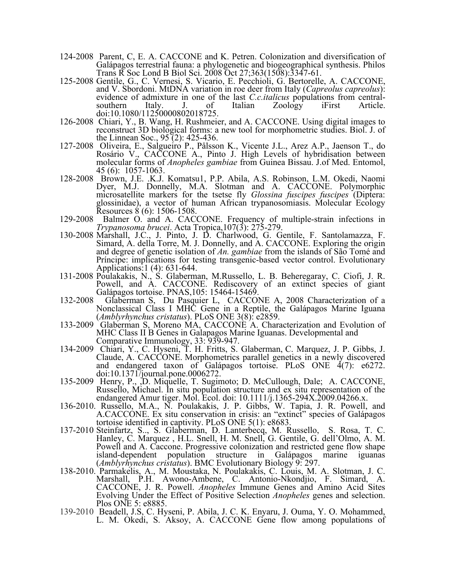- 124-2008 Parent, C, E. A. CACCONE and K. Petren. Colonization and diversification of Galápagos terrestrial fauna: a phylogenetic and biogeographical synthesis. Philos Trans R Soc Lond B Biol Sci. 2008 Oct 27;363(1508):3347-61.
- 125-2008 Gentile, G., C. Vernesi, S. Vicario, E. Pecchioli, G. Bertorelle, A. CACCONE, and V. Sbordoni. MtDNA variation in roe deer from Italy (*Capreolus capreolus*): evidence of admixture in one of the last *C.c.italicus* populations from central-<br>southern Italy. J. of Italian Zoology iFirst Article. southern Italy. J. of doi:10.1080/11250000802018725.
- 126-2008 Chiari, Y., B. Wang, H. Rushmeier, and A. CACCONE. Using digital images to reconstruct 3D biological forms: a new tool for morphometric studies. Biol. J. of the Linnean Soc., 95 (2): 425-436.
- 127-2008 Oliveira, E., Salgueiro P., Pålsson K., Vicente J.L., Arez A.P., Jaenson T., do Rosário V., CACCONE A., Pinto J. High Levels of hybridisation between molecular forms of *Anopheles gambiae* from Guinea Bissau. J.of Med. Entomol, 45 (6): 1057-1063.<br>128-2008 Brown, J.E. .K.J. Komatsu1, P.P. Abila, A.S. Robinson, L.M. Okedi, Naomi
- Dyer, M.J. Donnelly, M.A. Slotman and A. CACCONE. Polymorphic microsatellite markers for the tsetse fly *Glossina fuscipes fuscipes* (Diptera: glossinidae), a vector of human African trypanosomiasis. Molecular Ecology Resources  $\frac{8}{6}$  (6): 1506-1508.<br>129-2008 Balmer O. and A. CACCONE. Frequency of multiple-strain infections in
- *Trypanosoma brucei*. Acta Tropica,107(3): 275-279. 130-2008 Marshall, J.C., J. Pinto, J. D. Charlwood, G. Gentile, F. Santolamazza, F.
- Simard, A. della Torre, M. J. Donnelly, and A. CACCONE. Exploring the origin and degree of genetic isolation of *An. gambiae* from the islands of São Tomé and Príncipe: implications for testing transgenic-based vector control. Evolutionary Applications:1 (4): 631-644.
- 131-2008 Poulakakis, N., S. Glaberman, M.Russello, L. B. Beheregaray, C. Ciofi, J. R.<br>Powell, and A. CACCONE. Rediscovery of an extinct species of giant<br>Galápagos tortoise. PNAS, 105: 15464-15469. Galápagos tortoise. PNAS, 105: 15464-15469.<br>132-2008 Glaberman S, Du Pasquier L, CACCONE A, 2008 Characterization of a
- Nonclassical Class I MHC Gene in a Reptile, the Galápagos Marine Iguana (*Amblyrhynchus cristatus*). PLoS ONE 3(8): e2859.
- 133-2009 Glaberman S, Moreno MA, CACCONE A. Characterization and Evolution of MHC Class II B Genes in Galapagos Marine Iguanas. Developmental and Comparative Immunology, 33: 939-947.
- 134-2009 Chiari, Y., C. Hyseni, T. H. Fritts, S. Glaberman, C. Marquez, J. P. Gibbs, J. Claude, A. CACCONE. Morphometrics parallel genetics in a newly discovered and endangered taxon of Galápagos tortoise. PLoS ONE 4(7): e6272.<br>doi:10.1371/journal.pone.0006272.
- doi:10.1371/journal.pone.0006272.<br>135-2009 Henry, P., ,D. Miquelle, T. Sugimoto; D. McCullough, Dale; A. CACCONE, Russello, Michael. In situ population structure and ex situ representation of the endangered Amur tiger. Mol. Ecol. doi: 10.1111/j.1365-294X.2009.04266.x.
- 136-2010. Russello, M.A., N. Poulakakis, J. P. Gibbs, W. Tapia, J. R. Powell, and A.CACCONE. Ex situ conservation in crisis: an "extinct" species of Galápagos tortoise identified in captivity. PLoS ONE 5(1): e8683.
- 137-2010 Steinfartz, S.., S. Glaberman, D. Lanterbecq, M. Russello, S. Rosa, T. C. Hanley, C. Marquez , H.L. Snell, H. M. Snell, G. Gentile, G. dell'Olmo, A. M. Powell and A. Caccone. Progressive colonization and restricted gene flow shape island-dependent population structure in Galápagos marine iguanas (Amblyrhynchus cristatus). BMC Evolutionary Biology 9: 297. (*Amblyrhynchus cristatus*). BMC Evolutionary Biology 9: 297. 138-2010. Parmakelis, A., M. Moustaka, N. Poulakakis, C. Louis, M. A. Slotman, J. C.
- Marshall, P.H. Awono-Ambene, C. Antonio-Nkondjio, F. Simard, A. CACCONE, J. R. Powell. *Anopheles* Immune Genes and Amino Acid Sites Evolving Under the Effect of Positive Selection *Anopheles* genes and selection. Plos ONE 5: e8885.
- 139-2010 Beadell, J.S, C. Hyseni, P. Abila, J. C. K. Enyaru, J. Ouma, Y. O. Mohammed, L. M. Okedi, S. Aksoy, A. CACCONE Gene flow among populations of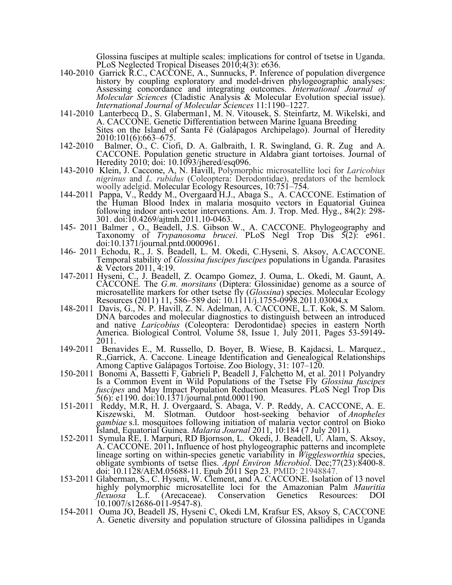Glossina fuscipes at multiple scales: implications for control of tsetse in Uganda. PLoS Neglected Tropical Diseases 2010;4(3): e636.

- 140-2010 Garrick R.C., CACCONE, A., Sunnucks, P. Inference of population divergence history by coupling exploratory and model-driven phylogeographic analyses: Assessing concordance and integrating outcomes. *International Journal of Molecular Sciences* (Cladistic Analysis & Molecular Evolution special issue). *International Journal of Molecular Sciences* 11:1190–1227. 141-2010 Lanterbecq D., S. Glaberman1, M. N. Vitousek, S. Steinfartz, M. Wikelski, and
- A. CACCONE. Genetic Differentiation between Marine Iguana Breeding Sites on the Island of Santa Fé (Galápagos Archipelago). Journal of Heredity 2010:101(6):663–675.
- 142-2010 Balmer, O., C. Ciofi, D. A. Galbraith, I. R. Swingland, G. R. Zug and A. CACCONE. Population genetic structure in Aldabra giant tortoises. Journal of
- 143-2010; Klein, J. Caccone, A, N. Havill, Polymorphic microsatellite loci for *Laricobius nigrinus* and *L. rubidus* (Coleoptera: Derodontidae), predators of the hemlock woolly adelgid. Molecular Ecology Resources, 10:751–754.
- 144-2011 Pappa, V., Reddy M., Overgaard H.J., Abaga S., A. CACCONE. Estimation of the Human Blood Index in malaria mosquito vectors in Equatorial Guinea following indoor anti-vector interventions. Am. J. Trop. Med. Hyg., 84(2): 298- 301. doi:10.4269/ajtmh.2011.10-0463.
- 145- 2011 Balmer , O., Beadell, J.S. Gibson W., A. CACCONE. Phylogeography and Taxonomy of *Trypanosoma brucei*. PLoS Negl Trop Dis 5(2): e961. doi:10.1371/journal.pntd.0000961. 146- 2011 Echodu, R., J. S. Beadell, L. M. Okedi, C.Hyseni, S. Aksoy, A.CACCONE.
- Temporal stability of *Glossina fuscipes fuscipes* populations in Uganda. Parasites & Vectors 2011, 4:19.
- 147-2011 Hyseni, C., J. Beadell, Z. Ocampo Gomez, J. Ouma, L. Okedi, M. Gaunt, A. CACCONE*.* The *G.m. morsitans* (Diptera: Glossinidae) genome as a source of microsatellite markers for other tsetse fly (*Glossina*) species. Molecular Ecology Resources (2011) 11, 586–589 doi: 10.1111/j.1755-0998.2011.03004.x
- 148-2011 Davis, G., N. P. Havill, Z. N. Adelman, A. CACCONE, L.T. Kok, S. M Salom. DNA barcodes and molecular diagnostics to distinguish between an introduced and native *Laricobius* (Coleoptera: Derodontidae) species in eastern North<br>America. Biological Control, Volume 58, Issue 1, July 2011, Pages 53-59149-<br>2011.
- 149-2011 Benavides E., M. Russello, D. Boyer, B. Wiese, B. Kajdacsi, L. Marquez., R.,Garrick, A. Caccone. Lineage Identification and Genealogical Relationships Among Captive Galápagos Tortoise. Zoo Biology, 31: 107–120.
- 150-2011 Bonomi A, Bassetti F, Gabrieli P, Beadell J, Falchetto M, et al. 2011 Polyandry Is a Common Event in Wild Populations of the Tsetse Fly *Glossina fuscipes fuscipes* and May Impact Population Reduction Measures. PLoS Negl Trop Dis 5(6): e1190. doi:10.1371/journal.pntd.0001190.
- 151-2011 Reddy, M.R, H. J. Overgaard, S. Abaga, V. P. Reddy, A. CACCONE, A. E. Kiszewski, M. Slotman. Outdoor host-seeking behavior of *Anopheles gambiae* s.l. mosquitoes following initiation of malaria vector control on Bioko Island, Equatorial Guinea. *Malaria Journal* 2011, 10:184 (7 July 2011).
- 152-2011 Symula RE, I. Marpuri, RD Bjornson, L. Okedi, J. Beadell, U. Alam, S. Aksoy, A. CACCONE. 2011**.** Influence of host phylogeographic patterns and incomplete lineage sorting on within-species genetic variability in *Wigglesworthia* species, obligate symbionts of tsetse flies. *Appl Environ Microbiol*. Dec;77(23):8400-8. doi: 10.1128/AEM.05688-11. Epub 2011 Sep 23. PMID: 21948847.
- 153-2011 Glaberman, S., C. Hyseni, W. Clement, and A. CACCONE. Isolation of 13 novel highly polymorphic microsatellite loci for the Amazonian Palm *Mauritia flexuosa* L.f. (Arecaceae). Conservation Genetics Resources: DOI flexuosa L.f. (Arecaceae).<br>10.1007/s12686-011-9547-8).
- 154-2011 Ouma JO, Beadell JS, Hyseni C, Okedi LM, Krafsur ES, Aksoy S, CACCONE A. Genetic diversity and population structure of Glossina pallidipes in Uganda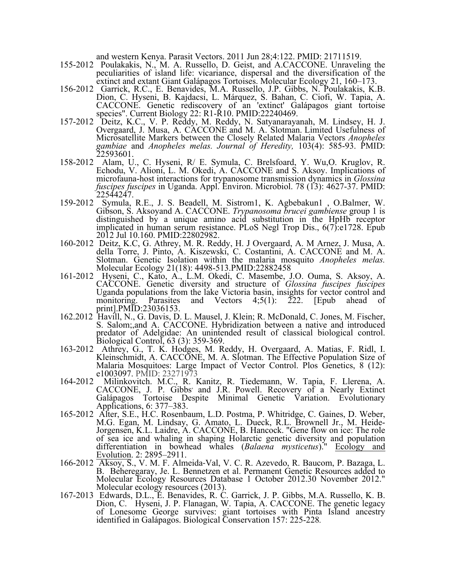- and western Kenya. Parasit Vectors. 2011 Jun 28;4:122. PMID: 21711519. 155-2012 Poulakakis, N., M. A. Russello, D. Geist, and A.CACCONE. Unraveling the peculiarities of island life: vicariance, dispersal and the diversification of the extinct and extant Giant Galápagos Tortoises. Molecular Ecology 21, 160–173.
- 156-2012 Garrick, R.C., E. Benavides, M.A. Russello, J.P. Gibbs, N. Poulakakis, K.B. Dion, C. Hyseni, B. Kajdacsi, L. Márquez, S. Bahan, C. Ciofi, W. Tapia, A. CACCONE. Genetic rediscovery of an 'extinct' Galápagos giant tortoise species". Current Biology 22: R1-R10. PMID:22240469. 157-2012 Deitz, K.C., V. P. Reddy, M. Reddy, N. Satyanarayanah, M. Lindsey, H. J.
- Overgaard, J. Musa, A. CACCONE and M. A. Slotman. Limited Usefulness of Microsatellite Markers between the Closely Related Malaria Vectors *Anopheles gambiae* and *Anopheles melas. Journal of Heredity,* 103(4): 585-93. PMID: 22593601. 158-2012 Alam, U., C. Hyseni, R/ E. Symula, C. Brelsfoard, Y. Wu,O. Kruglov, R.
- Echodu, V. Alioni, L. M. Okedi, A. CACCONE and S. Aksoy. Implications of microfauna-host interactions for trypanosome transmission dynamics in *Glossina fuscipes fuscipes* in Uganda. Appl. Environ. Microbiol. 78 (13): 4627-37. PMID:
- 22544247. 159-2012 Symula, R.E., J. S. Beadell, M. Sistrom1, K. Agbebakun1 , O.Balmer, W. Gibson, S. Aksoyand A. CACCONE. *Trypanosoma brucei gambiense* group 1 is distinguished by a unique amino acid substitution in the HpHb receptor implicated in human serum resistance. PLoS Negl Trop Dis., 6(7):e1728. Epub 2012 Jul 10.160. PMID:22802982.
- 160-2012 Deitz, K.C, G. Athrey, M. R. Reddy, H. J Overgaard, A. M Arnez, J. Musa, A. della Torre, J. Pinto, A. Kiszewski, C. Costantini, A. CACCONE and M. A. Slotman. Genetic Isolation within the malaria mosquito *Anopheles melas.*  Molecular Ecology 21(18): 4498-513.PMID:22882458
- 161-2012 Hyseni, C., Kato, A., L.M. Okedi, C. Masembe, J.O. Ouma, S. Aksoy, A. CACCONE. Genetic diversity and structure of *Glossina fuscipes fuscipes* Uganda populations from the lake Victoria basin, insights for vector control and monitoring. Parasites and Vectors  $4;5(1)$ : 222. [Epub ahead of print].PMID:23036153.
- 162.2012 Havill, N., G. Davis, D. L. Mausel, J. Klein; R. McDonald, C. Jones, M. Fischer, S. Salom;,and A. CACCONE. Hybridization between a native and introduced predator of Adelgidae: An unintended result of classical biological control. Biological Control, 63 (3): 359-369.
- 163-2012 Athrey, G., T. K. Hodges, M. Reddy, H. Overgaard, A. Matias, F. Ridl, I. Kleinschmidt, A. CACCONE, M. A. Slotman. The Effective Population Size of Malaria Mosquitoes: Large Impact of Vector Control. Plos Genetics, 8 (12): e1003097. PMID: 23271973
- 164-2012 Milinkovitch. M.C., R. Kanitz, R. Tiedemann, W. Tapia, F. Llerena, A. CACCONE, J. P. Gibbs, and J.R. Powell. Recovery of a Nearly Extinct Galápagos Tortoise Despite Minimal Genetic Variation. Evolutionary Applications, 6: 377–383.
- 165-2012 Alter, S.E., H.C. Rosenbaum, L.D. Postma, P. Whitridge, C. Gaines, D. Weber, M.G. Egan, M. Lindsay, G. Amato, L. Dueck, R.L. Brownell Jr., M. Heide- Jorgensen, K.L. Laidre, A. CACCONE, B. Hancock. "Gene flow on ice: The role of sea ice and whaling in shaping Holarctic genetic diversity and population differentiation in bowhead whales (*Balaena mysticetus*)." Ecology and Evolution. 2: 2895–2911.
- 166-2012 Aksoy, S., V. M. F. Almeida-Val, V. C. R. Azevedo, R. Baucom, P. Bazaga, L. B. Beheregaray, Je. L. Bennetzen et al. Permanent Genetic Resources added to Molecular Ecology Resources Database 1 October 2012.30 November 2012." Molecular ecology resources (2013).
- 167-2013 Edwards, D.L., E. Benavides, R. C. Garrick, J. P. Gibbs, M.A. Russello, K. B. Dion, C. Hyseni, J. P. Flanagan, W. Tapia, A. CACCONE. The genetic legacy of Lonesome George survives: giant tortoises with Pinta Island ancestry identified in Galápagos. Biological Conservation 157: 225-228*.*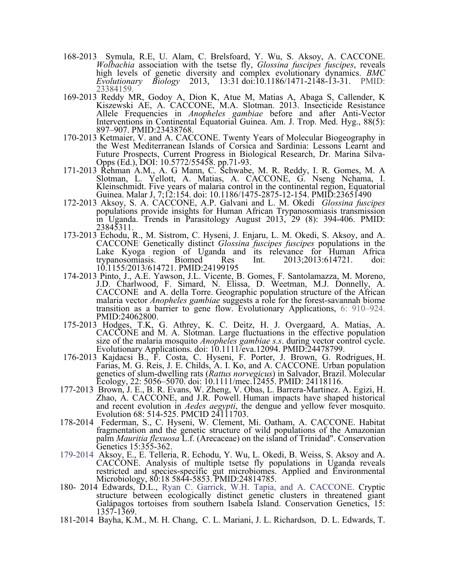- 168-2013 Symula, R.E, U. Alam, C. Brelsfoard, Y. Wu, S. Aksoy, A. CACCONE. *Wolbachia* association with the tsetse fly, *Glossina fuscipes fuscipes*, reveals high levels of genetic diversity and complex evolutionary dynamics. *BMC Evolutionary Biology* 2013, 13:31 doi:10.1186/1471-2148-13-31. PMID: 23384159.
- 169-2013 Reddy MR, Godoy A, Dion K, Atue M, Matias A, Abaga S, Callender, K Kiszewski AE, A. CACCONE, M.A. Slotman. 2013. Insecticide Resistance Allele Frequencies in *Anopheles gambiae* before and after Anti-Vector Interventions in Continental Equatorial Guinea. Am. J. Trop. Med. Hyg., 88(5): 897–907. PMID:23438768.
- 170-2013 Ketmaier, V. and A. CACCONE. Twenty Years of Molecular Biogeography in the West Mediterranean Islands of Corsica and Sardinia: Lessons Learnt and Future Prospects, Current Progress in Biological Research, Dr. Marina Silva- Opps (Ed.), DOI: 10.5772/55458. pp.71-93. 171-2013 Rehman A.M., A. G Mann, C. Schwabe, M. R. Reddy, I. R. Gomes, M. A
- Slotman, L. Yellott, A. Matias, A. CACCONE, G. Nseng Nchama, I. Kleinschmidt. Five years of malaria control in the continental region, Equatorial Guinea. Malar J, 7;12:154. doi: 10.1186/1475-2875-12-154. PMID:23651490
- 172-2013 Aksoy, S. A. CACCONE, A.P. Galvani and L. M. Okedi *Glossina fuscipes*  populations provide insights for Human African Trypanosomiasis transmission in Uganda. Trends in Parasitology August 2013, 29 (8): 394-406. PMID: 23845311.
- 173-2013 Echodu, R., M. Sistrom, C. Hyseni, J. Enjaru, L. M. Okedi, S. Aksoy, and A. CACCONE. Genetically distinct *Glossina fuscipes fuscipes* populations in the Lake Kyoga region of Uganda and its relevance for Human Africa trypanosomiasis. Biomed Res Int. 2013;2013:614721. doi: 10.1155/2013/614721. PMID:24199195
- 174-2013 Pinto, J., A.E. Yawson, J.L. Vicente, B. Gomes, F. Santolamazza, M. Moreno, J.D. Charlwood, F. Simard, N. Elissa, D. Weetman, M.J. Donnelly, A. CACCONE and A. della Torre. Geographic population structure of the African malaria vector *Anopheles gambiae* suggests a role for the forest-savannah biome transition as a barrier to gene flow. Evolutionary Applications, 6: 910–924. PMID:24062800.
- 175-2013 Hodges, T.K, G. Athrey, K. C. Deitz, H. J. Overgaard, A. Matias, A. CACCONE and M. A. Slotman. Large fluctuations in the effective population size of the malaria mosquito *Anopheles gambiae s.s*. during vector control cycle. Evolutionary Applications. doi: 10.1111/eva.12094. PMID:24478799.
- 176-2013 Kajdacsi B., F. Costa, C. Hyseni, F. Porter, J. Brown, G. Rodrigues, H. Farias, M. G. Reis, J. E. Childs, A. I. Ko, and A. CACCONE. Urban population genetics of slum-dwelling rats (*Rattus norvegicus*) in Salvador, Brazil. Molecular Ecology, 22: 5056–5070. doi: 10.1111/mec.12455. PMID: 24118116.
- 177-2013 Brown, J. E., B. R. Evans, W. Zheng, V. Obas, L. Barrera-Martinez. A. Egizi, H. Zhao, A. CACCONE, and J.R. Powell. Human impacts have shaped historical and recent evolution in *Aedes aegypti*, the dengue and yellow fever mosquito. Evolution 68: 514-525. PMCID 24111703.
- 178-2014 Federman, S., C. Hyseni, W. Clement, Mi. Oatham, A. CACCONE. Habitat fragmentation and the genetic structure of wild populations of the Amazonian palm *Mauritia flexuosa* L.f. (Arecaceae) on the island of Trinidad". Conservation Genetics 15:355-362.
- 179-2014 Aksoy, E., E. Telleria, R. Echodu, Y. Wu, L. Okedi, B. Weiss, S. Aksoy and A. CACCONE. Analysis of multiple tsetse fly populations in Uganda reveals restricted and species-specific gut microbiomes. Applied and Environmental Microbiology, 80:18 5844-5853. PMID:24814785.
- 180- 2014 Edwards, D.L., Ryan C. Garrick, W.H. Tapia, and A. CACCONE. Cryptic structure between ecologically distinct genetic clusters in threatened giant Galápagos tortoises from southern Isabela Island. Conservation Genetics, 15: 1357-1369.
- 181-2014 Bayha, K.M., M. H. Chang, C. L. Mariani, J. L. Richardson, D. L. Edwards, T.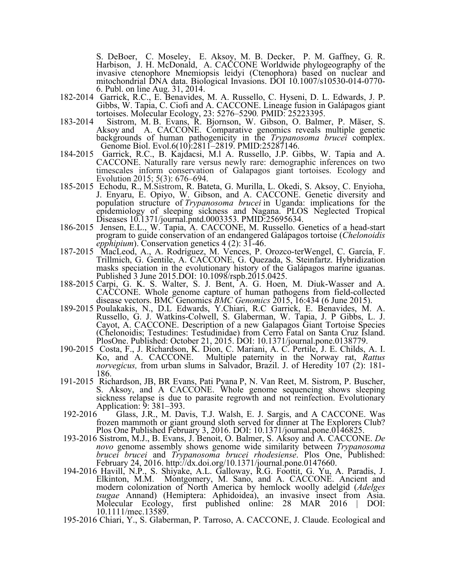S. DeBoer, C. Moseley, E. Aksoy, M. B. Decker, P. M. Gaffney, G. R. Harbison, J. H. McDonald, A. CACCONE Worldwide phylogeography of the invasive ctenophore Mnemiopsis leidyi (Ctenophora) based on nuclear and mitochondrial DNA data. Biological Invasions. DOI 10.1007/s10530-014-0770- 6. Publ. on line Aug. 31, 2014.

- 182-2014 Garrick, R.C., E. Benavides, M. A. Russello, C. Hyseni, D. L. Edwards, J. P. Gibbs, W. Tapia, C. Ciofi and A. CACCONE. Lineage fusion in Galápagos giant tortoises. Molecular Ecology, 23: 5276–5290*.* PMID: 25223395.
- 183-2014 Sistrom, M. B. Evans, R. Bjornson, W. Gibson, O. Balmer, P. Mäser, S. Aksoy and A. CACCONE. Comparative genomics reveals multiple genetic backgrounds of human pathogenicity in the *Trypanosoma brucei* complex. Genome Biol. Evol.6(10):2811–2819. PMID:25287146.
- 184-2015 Garrick, R.C., B. Kajdacsi, M.l A. Russello, J.P. Gibbs, W. Tapia and A. CACCONE. Naturally rare versus newly rare: demographic inferences on two timescales inform conservation of Galapagos giant tortoises. Ecology and
- Evolution 2015; 5(3): 676–694. 185-2015 Echodu, R., M.Sistrom, R. Bateta, G. Murilla, L. Okedi, S. Aksoy, C. Enyioha, J. Enyaru, E. Opiyo, W. Gibson, and A. CACCONE. Genetic diversity and population structure of *Trypanosoma brucei* in Uganda: implications for the epidemiology of sleeping sickness and Nagana. PLOS Neglected Tropical Diseases 10.1371/journal.pntd.0003353. PMID:25695634.
- 186-2015 Jensen, E.L., W. Tapia, A. CACCONE, M. Russello. Genetics of a head-start program to guide conservation of an endangered Galápagos tortoise (*Chelonoidis epphipium*). Conservation genetics 4 (2): 31-46.
- 187-2015 MacLeod, A., A. Rodríguez, M. Vences, P. Orozco-terWengel, C. García, F. Trillmich, G. Gentile, A. CACCONE, G. Quezada, S. Steinfartz. Hybridization masks speciation in the evolutionary history of the Galápagos marine iguanas. Published 3 June 2015.DOI: 10.1098/rspb.2015.0425.
- 188-2015 Carpi, G. K. S. Walter, S. J. Bent, A. G. Hoen, M. Diuk-Wasser and A. CACCONE. Whole genome capture of human pathogens from field-collected disease vectors. BMC Genomics *BMC Genomics* 2015, 16:434 (6 June 2015). 189-2015 Poulakakis, N., D.L Edwards, Y.Chiari, R.C Garrick, E. Benavides, M. A.
- Russello, G. J. Watkins-Colwell, S. Glaberman, W. Tapia, J. P Gibbs, L. J. Cayot, A. CACCONE. Description of a new Galapagos Giant Tortoise Species (Chelonoidis; Testudines: Testudinidae) from Cerro Fatal on Santa Cruz Island. PlosOne. Published: October 21, 2015. DOI: 10.1371/journal.pone.0138779. 190-2015 Costa, F., J. Richardson, K. Dion, C. Mariani, A. C. Pertile, J. E. Childs, A. I.
- Ko, and A. CACCONE. Multiple paternity in the Norway rat, *Rattus norvegicus,* from urban slums in Salvador, Brazil. J. of Heredity 107 (2): 181- 186.
- 191-2015 Richardson, JB, BR Evans, Pati Pyana P, N. Van Reet, M. Sistrom, P. Buscher, S. Aksoy, and A CACCONE. Whole genome sequencing shows sleeping sickness relapse is due to parasite regrowth and not reinfection. Evolutionary Application: 9:381–393. Application: 9: 381–393.<br>192-2016 Glass, J.R., M. Davis, T.J. Walsh, E. J. Sargis, and A CACCONE. Was
- frozen mammoth or giant ground sloth served for dinner at The Explorers Club? Plos One Published February 3, 2016. DOI: 10.1371/journal.pone.0146825.
- 193-2016 Sistrom, M.J., B. Evans, J. Benoit, O. Balmer, S. Aksoy and A. CACCONE. *De novo* genome assembly shows genome wide similarity between *Trypanosoma brucei brucei* and *Trypanosoma brucei rhodesiense*. Plos One, Published: February 24, 2016. http://dx.doi.org/10.1371/journal.pone.0147660. 194-2016 Havill, N.P., S. Shiyake, A.L. Galloway, R.G. Foottit, G. Yu, A. Paradis, J.
- Elkinton, M.M. Montgomery, M. Sano, and A. CACCONE. Ancient and modern colonization of North America by hemlock woolly adelgid (*Adelges tsugae* Annand) (Hemiptera: Aphidoidea), an invasive insect from Asia. Molecular Ecology, first published online: 28 MAR 2016 | DOI: 10.1111/mec.13589. 195-2016 Chiari, Y., S. Glaberman, P. Tarroso, A. CACCONE, J. Claude. Ecological and
-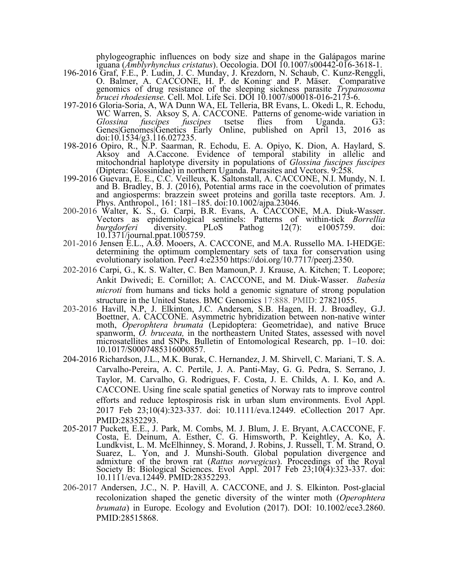phylogeographic influences on body size and shape in the Galápagos marine iguana (Amblyrhynchus cristatus). Oecologia. DOI 10.1007/s00442-016-3618-1. iguana (*Amblyrhynchus cristatus*). Oecologia. DOI 10.1007/s00442-016-3618-1. 196-2016 Graf, F.E., P. Ludin, J. C. Munday, J. Krezdorn, N. Schaub, C. Kunz-Renggli,

- O. Balmer, A. CACCONE, H. P. de Koning, and P. Mäser. Comparative genomics of drug resistance of the sleeping sickness parasite *Trypanosoma brucei rhodesiense.* Cell. Mol. Life Sci. DOI 10.1007/s00018-016-2173-6.
- 197-2016 Gloria-Soria, A, WA Dunn WA, EL Telleria, BR Evans, L. Okedi L, R. Echodu, WC Warren, S. Aksoy S, A. CACCONE. Patterns of genome-wide variation in *Glossina fuscipes fuscipes* tsetse flies from Uganda. G3: Genes|Genomes|Genetics Early Online, published on April 13, 2016 as doi:10.1534/g3.116.027235.
- 198-2016 Opiro, R., N.P. Saarman, R. Echodu, E. A. Opiyo, K. Dion, A. Haylard, S. Aksoy and A.Caccone. Evidence of temporal stability in allelic and mitochondrial haplotype diversity in populations of *Glossina fuscipes fuscipes* (Diptera: Glossinidae) in northern Uganda. Parasites and Vectors. 9:258.
- 199-2016 Guevara, E. E., C.C. Veilleux, K. Saltonstall, A. CACCONE, N.I. Mundy, N. I. and B. Bradley, B. J. (2016), Potential arms race in the coevolution of primates and angiosperms: brazzein sweet proteins and gorilla taste receptors. Am. J. Phys. Anthropol., 161: 181–185. doi:10.1002/ajpa.23046. 200-2016 Walter, K. S., G. Carpi, B.R. Evans, A. CACCONE, M.A. Diuk-Wasser.
- Vectors as epidemiological sentinels: Patterns of within-tick *Borrellia burgdorferi* diversity. PLoS Pathog 12(7): e1005759. doi: 10.1371/journal.ppat.1005759. 10.1371/journal.ppat.1005759.<br>201-2016 Jensen E.L., A.Ø. Mooers, A. CACCONE, and M.A. Russello MA. I-HEDGE:
- determining the optimum complementary sets of taxa for conservation using evolutionary isolation. PeerJ 4:e2350 https://doi.org/10.7717/peerj.2350.
- 202-2016 Carpi, G., K. S. Walter, C. Ben Mamoun,P. J. Krause, A. Kitchen; T. Leopore; Ankit Dwivedi; E. Cornillot; A. CACCONE, and M. Diuk-Wasser. *Babesia microti* from humans and ticks hold a genomic signature of strong population structure in the United States. BMC Genomics 17:888. PMID: 27821055.
- 203-2016 Havill, N.P, J. Elkinton, J.C. Andersen, S.B. Hagen, H. J. Broadley, G.J. Boettner, A. CACCONE. Asymmetric hybridization between non-native winter moth, *Operophtera brumata* (Lepidoptera: Geometridae), and native Bruce spanworm, *O. bruceata,* in the northeastern United States, assessed with novel microsatellites and SNPs. Bulletin of Entomological Research, pp. 1–10. doi: 10.1017/S0007485316000857.
- 204-2016 Richardson, J.L., M.K. Burak, C. Hernandez, J. M. Shirvell, C. Mariani, T. S. A. Carvalho-Pereira, A. C. Pertile, J. A. Panti-May, G. G. Pedra, S. Serrano, J. Taylor, M. Carvalho, G. Rodrigues, F. Costa, J. E. Childs, A. I. Ko, and A. CACCONE. Using fine scale spatial genetics of Norway rats to improve control efforts and reduce leptospirosis risk in urban slum environments. Evol Appl. 2017 Feb 23;10(4):323-337. doi: 10.1111/eva.12449. eCollection 2017 Apr. PMID:28352293.
- 205-2017 Puckett, E.E., J. Park, M. Combs, M. J. Blum, J. E. Bryant, A.CACCONE, F. Costa, E. Deinum, A. Esther, C. G. Himsworth, P. Keightley, A. Ko, Å. Lundkvist, L. M. McElhinney, S. Morand, J. Robins, J. Russell, T. M. Strand, O. Suarez, L. Yon, and J. Munshi-South. Global population divergence and admixture of the brown rat (*Rattus norvegicus*). Proceedings of the Royal Society B: Biological Sciences. Evol Appl. 2017 Feb 23;10(4):323-337. doi: 10.1111/eva.12449. PMID:28352293.
- 206-2017 Andersen, J.C., N. P. Havill, A. CACCONE, and J. S. Elkinton. Post-glacial recolonization shaped the genetic diversity of the winter moth (*Operophtera brumata*) in Europe. Ecology and Evolution (2017). DOI: 10.1002/ece3.2860. PMID:28515868.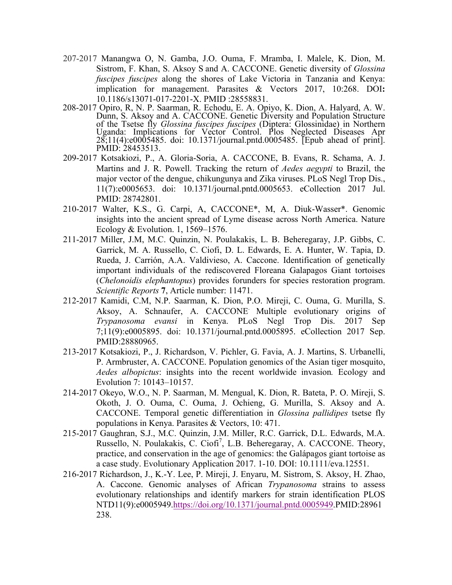- 207-2017 Manangwa O, N. Gamba, J.O. Ouma, F. Mramba, I. Malele, K. Dion, M. Sistrom, F. Khan, S. Aksoy S and A. CACCONE. Genetic diversity of *Glossina fuscipes fuscipes* along the shores of Lake Victoria in Tanzania and Kenya: implication for management. Parasites & Vectors 2017, 10:268. DOI**:**  10.1186/s13071-017-2201-X. PMID :28558831.
- 208-2017 Opiro, R, N. P. Saarman, R. Echodu, E. A. Opiyo, K. Dion, A. Halyard, A. W. Dunn, S. Aksoy and A. CACCONE. Genetic Diversity and Population Structure of the Tsetse fly *Glossina fuscipes fuscipes* (Diptera: Glossinidae) in Northern Uganda: Implications for Vector Control. Plos Neglected Diseases Apr 28;11(4):e0005485. doi: 10.1371/journal.pntd.0005485. [Epub ahead of print]. PMID: 28453513.
- 209-2017 Kotsakiozi, P., A. Gloria-Soria, A. CACCONE, B. Evans, R. Schama, A. J. Martins and J. R. Powell. Tracking the return of *Aedes aegypti* to Brazil, the major vector of the dengue, chikungunya and Zika viruses. PLoS Negl Trop Dis., 11(7):e0005653. doi: 10.1371/journal.pntd.0005653. eCollection 2017 Jul. PMID: 28742801.
- 210-2017 Walter, K.S., G. Carpi, A, CACCONE\*, M, A. Diuk-Wasser\*. Genomic insights into the ancient spread of Lyme disease across North America. Nature Ecology & Evolution. 1, 1569–1576.
- 211-2017 Miller, J.M, M.C. Quinzin, N. Poulakakis, L. B. Beheregaray, J.P. Gibbs, C. Garrick, M. A. Russello, C. Ciofi, D. L. Edwards, E. A. Hunter, W. Tapia, D. Rueda, J. Carrión, A.A. Valdivieso, A. Caccone. Identification of genetically important individuals of the rediscovered Floreana Galapagos Giant tortoises (*Chelonoidis elephantopus*) provides forunders for species restoration program. *Scientific Reports* **7**, Article number: 11471.
- 212-2017 Kamidi, C.M, N.P. Saarman, K. Dion, P.O. Mireji, C. Ouma, G. Murilla, S. Aksoy, A. Schnaufer, A. CACCONE. Multiple evolutionary origins of *Trypanosoma evansi* in Kenya. PLoS Negl Trop Dis. 2017 Sep 7;11(9):e0005895. doi: 10.1371/journal.pntd.0005895. eCollection 2017 Sep. PMID:28880965.
- 213-2017 Kotsakiozi, P., J. Richardson, V. Pichler, G. Favia, A. J. Martins, S. Urbanelli, P. Armbruster, A. CACCONE. Population genomics of the Asian tiger mosquito, *Aedes albopictus*: insights into the recent worldwide invasion*.* Ecology and Evolution 7: 10143–10157.
- 214-2017 Okeyo, W.O., N. P. Saarman, M. Mengual, K. Dion, R. Bateta, P. O. Mireji, S. Okoth, J. O. Ouma, C. Ouma, J. Ochieng, G. Murilla, S. Aksoy and A. CACCONE. Temporal genetic differentiation in *Glossina pallidipes* tsetse fly populations in Kenya. Parasites & Vectors, 10: 471.
- 215-2017 Gaughran, S.J., M.C. Quinzin, J.M. Miller, R.C. Garrick, D.L. Edwards, M.A. Russello, N. Poulakakis, C. Ciofi<sup>7</sup>, L.B. Beheregaray, A. CACCONE. Theory, practice, and conservation in the age of genomics: the Galápagos giant tortoise as a case study. Evolutionary Application 2017. 1-10. DOI: 10.1111/eva.12551.
- 216-2017 Richardson, J., K.-Y. Lee, P. Mireji, J. Enyaru, M. Sistrom, S. Aksoy, H. Zhao, A. Caccone. Genomic analyses of African *Trypanosoma* strains to assess evolutionary relationships and identify markers for strain identification PLOS NTD11(9):e0005949.https://doi.org/10.1371/journal.pntd.0005949.PMID:28961 238.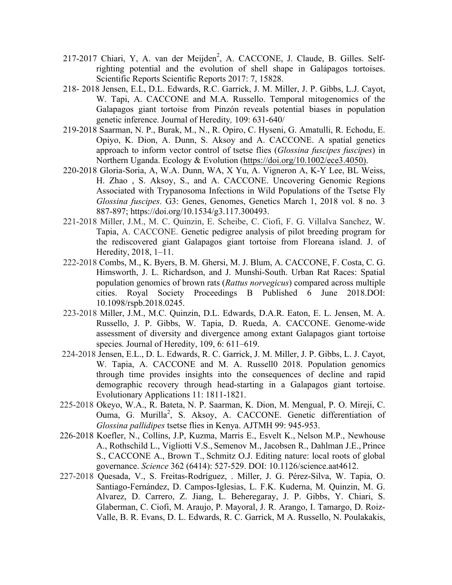- 217-2017 Chiari, Y, A. van der Meijden<sup>2</sup>, A. CACCONE, J. Claude, B. Gilles. Selfrighting potential and the evolution of shell shape in Galápagos tortoises. Scientific Reports Scientific Reports 2017: 7, 15828.
- 218- 2018 Jensen, E.L, D.L. Edwards, R.C. Garrick, J. M. Miller, J. P. Gibbs, L.J. Cayot, W. Tapi, A. CACCONE and M.A. Russello. Temporal mitogenomics of the Galapagos giant tortoise from Pinzón reveals potential biases in population genetic inference. Journal of Heredity*,* 109: 631-640/
- 219-2018 Saarman, N. P., Burak, M., N., R. Opiro, C. Hyseni, G. Amatulli, R. Echodu, E. Opiyo, K. Dion, A. Dunn, S. Aksoy and A. CACCONE. A spatial genetics approach to inform vector control of tsetse flies (*Glossina fuscipes fuscipes*) in Northern Uganda. Ecology & Evolution (https://doi.org/10.1002/ece3.4050).
- 220-2018 Gloria-Soria, A, W.A. Dunn, WA, X Yu, A. Vigneron A, K-Y Lee, BL Weiss, H. Zhao , S. Aksoy, S., and A. CACCONE. Uncovering Genomic Regions Associated with Trypanosoma Infections in Wild Populations of the Tsetse Fly *Glossina fuscipes*. G3: Genes, Genomes, Genetics March 1, 2018 vol. 8 no. 3 887-897; https://doi.org/10.1534/g3.117.300493.
- 221-2018 Miller, J.M., M. C. Quinzin, E. Scheibe, C. Ciofi, F. G. Villalva Sanchez, W. Tapia, A. CACCONE. Genetic pedigree analysis of pilot breeding program for the rediscovered giant Galapagos giant tortoise from Floreana island. J. of Heredity, 2018, 1–11.
- 222-2018 Combs, M., K. Byers, B. M. Ghersi, M. J. Blum, A. CACCONE, F. Costa, C. G. Himsworth, J. L. Richardson, and J. Munshi-South. Urban Rat Races: Spatial population genomics of brown rats (*Rattus norvegicus*) compared across multiple cities. Royal Society Proceedings B Published 6 June 2018.DOI: 10.1098/rspb.2018.0245.
- 223-2018 Miller, J.M., M.C. Quinzin, D.L. Edwards, D.A.R. Eaton, E. L. Jensen, M. A. Russello, J. P. Gibbs, W. Tapia, D. Rueda, A. CACCONE. Genome-wide assessment of diversity and divergence among extant Galapagos giant tortoise species. Journal of Heredity, 109, 6: 611–619.
- 224-2018 Jensen, E.L., D. L. Edwards, R. C. Garrick, J. M. Miller, J. P. Gibbs, L. J. Cayot, W. Tapia, A. CACCONE and M. A. Russell0 2018. Population genomics through time provides insights into the consequences of decline and rapid demographic recovery through head-starting in a Galapagos giant tortoise. Evolutionary Applications 11: 1811-1821.
- 225-2018 Okeyo, W.A., R. Bateta, N. P. Saarman, K. Dion, M. Mengual, P. O. Mireji, C. Ouma, G. Murilla<sup>2</sup>, S. Aksoy, A. CACCONE. Genetic differentiation of *Glossina pallidipes* tsetse flies in Kenya. AJTMH 99: 945-953.
- 226-2018 Koefler, N., Collins, J.P, Kuzma, Marris E., Esvelt K., Nelson M.P., Newhouse A., Rothschild L., Vigliotti V.S., Semenov M., Jacobsen R., Dahlman J.E., Prince S., CACCONE A., Brown T., Schmitz O.J. Editing nature: local roots of global governance. *Science* 362 (6414): 527-529. DOI: 10.1126/science.aat4612.
- 227-2018 Quesada, V., S. Freitas-Rodríguez, . Miller, J. G. Pérez-Silva, W. Tapia, O. Santiago-Fernández, D. Campos-Iglesias, L. F.K. Kuderna, M. Quinzin, M. G. Alvarez, D. Carrero, Z. Jiang, L. Beheregaray, J. P. Gibbs, Y. Chiari, S. Glaberman, C. Ciofi, M. Araujo, P. Mayoral, J. R. Arango, I. Tamargo, D. Roiz-Valle, B. R. Evans, D. L. Edwards, R. C. Garrick, M A. Russello, N. Poulakakis,